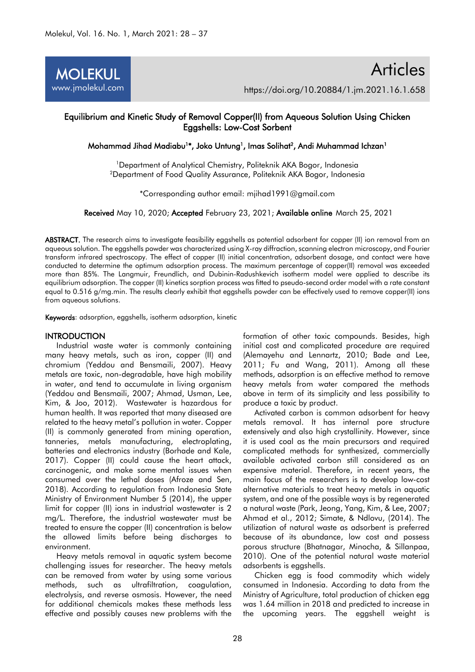

# Equilibrium and Kinetic Study of Removal Copper(II) from Aqueous Solution Using Chicken Eggshells: Low-Cost Sorbent

Mohammad Jihad Madiabu<sup>1</sup>\*, Joko Untung<sup>1</sup>, Imas Solihat<sup>2</sup>, Andi Muhammad Ichzan<sup>1</sup>

<sup>1</sup>Department of Analytical Chemistry, Politeknik AKA Bogor, Indonesia <sup>2</sup>Department of Food Quality Assurance, Politeknik AKA Bogor, Indonesia

\*Corresponding author email: [mjihad1991@gmail.com](mailto:mjihad1991@gmail.com)

Received May 10, 2020; Accepted February 23, 2021; Available online March 25, 2021

ABSTRACT. The research aims to investigate feasibility eggshells as potential adsorbent for copper (II) ion removal from an aqueous solution. The eggshells powder was characterized using X-ray diffraction, scanning electron microscopy, and Fourier transform infrared spectroscopy. The effect of copper (II) initial concentration, adsorbent dosage, and contact were have conducted to determine the optimum adsorption process. The maximum percentage of copper(II) removal was exceeded more than 85%. The Langmuir, Freundlich, and Dubinin-Radushkevich isotherm model were applied to describe its equilibrium adsorption. The copper (II) kinetics sorption process was fitted to pseudo-second order model with a rate constant equal to 0.516 g/mg.min. The results clearly exhibit that eggshells powder can be effectively used to remove copper(II) ions from aqueous solutions.

Keywords: adsorption, eggshells, isotherm adsorption, kinetic

# **INTRODUCTION**

Industrial waste water is commonly containing many heavy metals, such as iron, copper (II) and chromium (Yeddou and Bensmaili, 2007). Heavy metals are toxic, non-degradable, have high mobility in water, and tend to accumulate in living organism (Yeddou and Bensmaili, 2007; Ahmad, Usman, Lee, Kim, & Joo, 2012). Wastewater is hazardous for human health. It was reported that many diseased are related to the heavy metal's pollution in water. Copper (II) is commonly generated from mining operation, tanneries, metals manufacturing, electroplating, batteries and electronics industry (Borhade and Kale, 2017). Copper (II) could cause the heart attack, carcinogenic, and make some mental issues when consumed over the lethal doses (Afroze and Sen, 2018). According to regulation from Indonesia State Ministry of Environment Number 5 (2014), the upper limit for copper (II) ions in industrial wastewater is 2 mg/L. Therefore, the industrial wastewater must be treated to ensure the copper (II) concentration is below the allowed limits before being discharges to environment.

Heavy metals removal in aquatic system become challenging issues for researcher. The heavy metals can be removed from water by using some various methods, such as ultrafiltration, coagulation, electrolysis, and reverse osmosis. However, the need for additional chemicals makes these methods less effective and possibly causes new problems with the formation of other toxic compounds. Besides, high initial cost and complicated procedure are required (Alemayehu and Lennartz, 2010; Bade and Lee, 2011; Fu and Wang, 2011). Among all these methods, adsorption is an effective method to remove heavy metals from water compared the methods above in term of its simplicity and less possibility to produce a toxic by product.

Activated carbon is common adsorbent for heavy metals removal. It has internal pore structure extensively and also high crystallinity. However, since it is used coal as the main precursors and required complicated methods for synthesized, commercially available activated carbon still considered as an expensive material. Therefore, in recent years, the main focus of the researchers is to develop low-cost alternative materials to treat heavy metals in aquatic system, and one of the possible ways is by regenerated a natural waste (Park, Jeong, Yang, Kim, & Lee, 2007; Ahmad et al., 2012; Simate, & Ndlovu, (2014). The utilization of natural waste as adsorbent is preferred because of its abundance, low cost and possess porous structure (Bhatnagar, Minocha, & Sillanpaa, 2010). One of the potential natural waste material adsorbents is eggshells.

Chicken egg is food commodity which widely consumed in Indonesia. According to data from the Ministry of Agriculture, total production of chicken egg was 1.64 million in 2018 and predicted to increase in the upcoming years. The eggshell weight is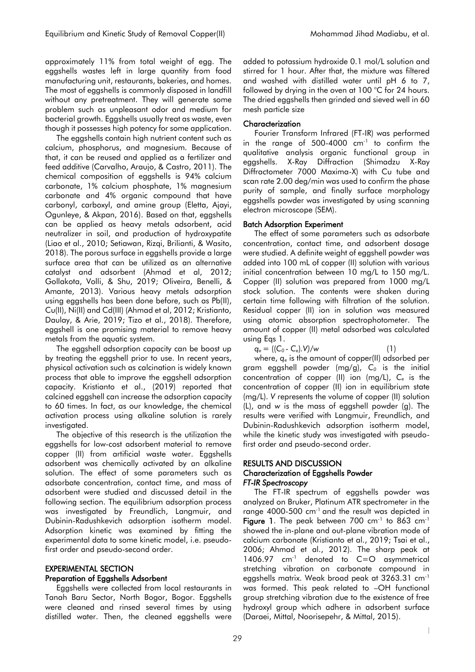approximately 11% from total weight of egg. The eggshells wastes left in large quantity from food manufacturing unit, restaurants, bakeries, and homes. The most of eggshells is commonly disposed in landfill without any pretreatment. They will generate some problem such as unpleasant odor and medium for bacterial growth. Eggshells usually treat as waste, even though it possesses high potency for some application.

The eggshells contain high nutrient content such as calcium, phosphorus, and magnesium. Because of that, it can be reused and applied as a fertilizer and feed additive (Carvalho, Araujo, & Castro, 2011). The chemical composition of eggshells is 94% calcium carbonate, 1% calcium phosphate, 1% magnesium carbonate and 4% organic compound that have carbonyl, carboxyl, and amine group (Eletta, Ajayi, Ogunleye, & Akpan, 2016). Based on that, eggshells can be applied as heavy metals adsorbent, acid neutralizer in soil, and production of hydroxypatite (Liao et al., 2010; Setiawan, Rizqi, Brilianti, & Wasito, 2018). The porous surface in egashells provide a large surface area that can be utilized as an alternative catalyst and adsorbent (Ahmad et al, 2012; Gollakota, Volli, & Shu, 2019; Oliveira, Benelli, & Amante, 2013). Various heavy metals adsorption using eggshells has been done before, such as Pb(II), Cu(II), Ni(II) and Cd(III) (Ahmad et al, 2012; Kristianto, Daulay, & Arie, 2019; Tizo et al., 2018). Therefore, eggshell is one promising material to remove heavy metals from the aquatic system.

The eggshell adsorption capacity can be boost up by treating the eggshell prior to use. In recent years, physical activation such as calcination is widely known process that able to improve the eggshell adsorption capacity. Kristianto et al., (2019) reported that calcined eggshell can increase the adsorption capacity to 60 times. In fact, as our knowledge, the chemical activation process using alkaline solution is rarely investigated.

The objective of this research is the utilization the eggshells for low-cost adsorbent material to remove copper (II) from artificial waste water. Eggshells adsorbent was chemically activated by an alkaline solution. The effect of some parameters such as adsorbate concentration, contact time, and mass of adsorbent were studied and discussed detail in the following section. The equilibrium adsorption process was investigated by Freundlich, Langmuir, and Dubinin-Radushkevich adsorption isotherm model. Adsorption kinetic was examined by fitting the experimental data to some kinetic model, i.e. pseudofirst order and pseudo-second order.

# EXPERIMENTAL SECTION

# Preparation of Eggshells Adsorbent

Eggshells were collected from local restaurants in Tanah Baru Sector, North Bogor, Bogor. Eggshells were cleaned and rinsed several times by using distilled water. Then, the cleaned eggshells were added to potassium hydroxide 0.1 mol/L solution and stirred for 1 hour. After that, the mixture was filtered and washed with distilled water until pH 6 to 7, followed by drying in the oven at 100 °C for 24 hours. The dried eggshells then grinded and sieved well in 60 mesh particle size

# **Characterization**

Fourier Transform Infrared (FT-IR) was performed in the range of 500-4000  $cm^{-1}$  to confirm the qualitative analysis organic functional group in eggshells. X-Ray Diffraction (Shimadzu X-Ray Diffractometer 7000 Maxima-X) with Cu tube and scan rate 2.00 deg/min was used to confirm the phase purity of sample, and finally surface morphology eggshells powder was investigated by using scanning electron microscope (SEM).

### Batch Adsorption Experiment

The effect of some parameters such as adsorbate concentration, contact time, and adsorbent dosage were studied. A definite weight of eggshell powder was added into 100 mL of copper (II) solution with various initial concentration between 10 mg/L to 150 mg/L. Copper (II) solution was prepared from 1000 mg/L stock solution. The contents were shaken during certain time following with filtration of the solution. Residual copper (II) ion in solution was measured using atomic absorption spectrophotometer. The amount of copper (II) metal adsorbed was calculated using Eqs 1.

 $q_e = ((C_0 - C_e) \cdot V)/w$  (1)

|

 $\overline{\phantom{a}}$ 

where, *q<sup>e</sup>* is the amount of copper(II) adsorbed per gram eggshell powder (mg/g), *C<sup>0</sup>* is the initial concentration of copper (II) ion (mg/L), *C<sup>e</sup>* is the concentration of copper (II) ion in equilibrium state (mg/L). *V* represents the volume of copper (II) solution (L), and *w* is the mass of eggshell powder (g). The results were verified with Langmuir, Freundlich, and Dubinin-Radushkevich adsorption isotherm model, while the kinetic study was investigated with pseudofirst order and pseudo-second order.

### RESULTS AND DISCUSSION Characterization of Eggshells Powder *FT-IR Spectroscopy*

The FT-IR spectrum of eggshells powder was analyzed on Bruker, Platinum ATR spectrometer in the range 4000-500 cm<sup>-1</sup> and the result was depicted in **Figure 1.** The peak between 700 cm<sup>-1</sup> to 863 cm<sup>-1</sup> showed the in-plane and out-plane vibration mode of calcium carbonate (Kristianto et al., 2019; Tsai et al., 2006; Ahmad et al., 2012). The sharp peak at 1406.97 cm-1 denoted to C=O asymmetrical stretching vibration on carbonate compound in eggshells matrix. Weak broad peak at 3263.31 cm-1 was formed. This peak related to –OH functional group stretching vibration due to the existence of free hydroxyl group which adhere in adsorbent surface (Daraei, Mittal, Noorisepehr, & Mittal, 2015).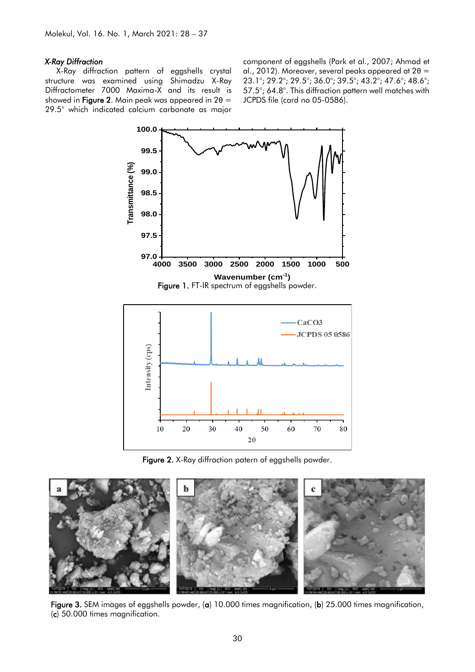#### *X-Ray Diffraction*

X-Ray diffraction pattern of eggshells crystal structure was examined using Shimadzu X-Ray Diffractometer 7000 Maxima-X and its result is showed in Figure 2. Main peak was appeared in  $2\theta =$ 29.5° which indicated calcium carbonate as major component of eggshells (Park et al., 2007; Ahmad et al., 2012). Moreover, several peaks appeared at  $2\theta =$ 23.1°; 29.2°; 29.5°; 36.0°; 39.5°; 43.2°; 47.6°; 48.6°; 57.5°; 64.8°. This diffraction pattern well matches with JCPDS file (card no 05-0586).



Figure 1. FT-IR spectrum of eggshells powder.



Figure 2. X-Ray diffraction patern of eggshells powder.



Figure 3. SEM images of eggshells powder, (a) 10.000 times magnification, (b) 25.000 times magnification, (c) 50.000 times magnification.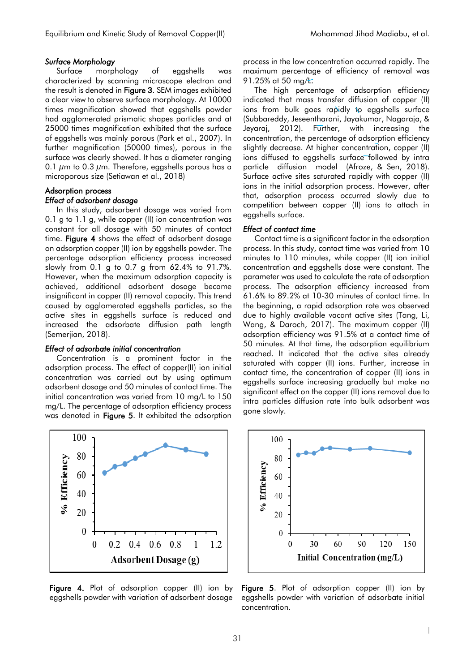### *Surface Morphology*

Surface morphology of eggshells was characterized by scanning microscope electron and the result is denoted in Figure 3. SEM images exhibited a clear view to observe surface morphology. At 10000 times magnification showed that eggshells powder had agglomerated prismatic shapes particles and at 25000 times magnification exhibited that the surface of eggshells was mainly porous (Park et al., 2007). In further magnification (50000 times), porous in the surface was clearly showed. It has a diameter ranging 0.1  $\mu$ m to 0.3  $\mu$ m. Therefore, eggshells porous has a microporous size (Setiawan et al., 2018)

# Adsorption process

# *Effect of adsorbent dosage*

In this study, adsorbent dosage was varied from 0.1 g to 1.1 g, while copper (II) ion concentration was constant for all dosage with 50 minutes of contact time. Figure 4 shows the effect of adsorbent dosage on adsorption copper (II) ion by eggshells powder. The percentage adsorption efficiency process increased slowly from 0.1 g to 0.7 g from 62.4% to 91.7%. However, when the maximum adsorption capacity is achieved, additional adsorbent dosage became insignificant in copper (II) removal capacity. This trend caused by agglomerated eggshells particles, so the active sites in eggshells surface is reduced and increased the adsorbate diffusion path length (Semerjian, 2018).

#### *Effect of adsorbate initial concentration*

Concentration is a prominent factor in the adsorption process. The effect of copper(II) ion initial concentration was carried out by using optimum adsorbent dosage and 50 minutes of contact time. The initial concentration was varied from 10 mg/L to 150 mg/L. The percentage of adsorption efficiency process was denoted in Figure 5. It exhibited the adsorption process in the low concentration occurred rapidly. The maximum percentage of efficiency of removal was 91.25% at 50 mg/L.

The high percentage of adsorption efficiency indicated that mass transfer diffusion of copper (II) ions from bulk goes rapidly to eggshells surface (Subbareddy, Jeseentharani, Jayakumar, Nagaraja, & Jeyaraj, 2012). Further, with increasing the concentration, the percentage of adsorption efficiency slightly decrease. At higher concentration, copper (II) ions diffused to eggshells surface followed by intra particle diffusion model (Afroze, & Sen, 2018). Surface active sites saturated rapidly with copper (II) ions in the initial adsorption process. However, after that, adsorption process occurred slowly due to competition between copper (II) ions to attach in eggshells surface.

#### *Effect of contact time*

Contact time is a significant factor in the adsorption process. In this study, contact time was varied from 10 minutes to 110 minutes, while copper (II) ion initial concentration and eggshells dose were constant. The parameter was used to calculate the rate of adsorption process. The adsorption efficiency increased from 61.6% to 89.2% at 10-30 minutes of contact time. In the beginning, a rapid adsorption rate was observed due to highly available vacant active sites (Tang, Li, Wang, & Daroch, 2017). The maximum copper (II) adsorption efficiency was 91.5% at a contact time of 50 minutes. At that time, the adsorption equilibrium reached. It indicated that the active sites already saturated with copper (II) ions. Further, increase in contact time, the concentration of copper (II) ions in eggshells surface increasing gradually but make no significant effect on the copper (II) ions removal due to intra particles diffusion rate into bulk adsorbent was gone slowly.



Figure 4. Plot of adsorption copper (II) ion by eggshells powder with variation of adsorbent dosage



Figure 5. Plot of adsorption copper (II) ion by eggshells powder with variation of adsorbate initial concentration.

|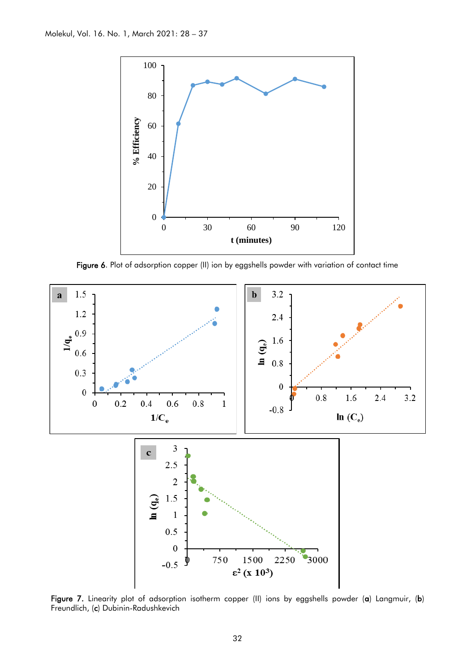

Figure 6. Plot of adsorption copper (II) ion by eggshells powder with variation of contact time



Figure 7. Linearity plot of adsorption isotherm copper (II) ions by eggshells powder (a) Langmuir, (b) Freundlich, (c) Dubinin-Radushkevich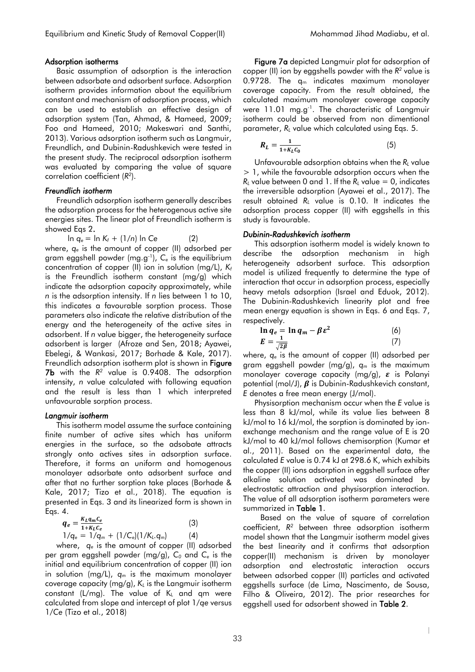#### Adsorption isotherms

Basic assumption of adsorption is the interaction between adsorbate and adsorbent surface. Adsorption isotherm provides information about the equilibrium constant and mechanism of adsorption process, which can be used to establish an effective design of adsorption system (Tan, Ahmad, & Hameed, 2009; Foo and Hameed, 2010; Makeswari and Santhi, 2013). Various adsorption isotherm such as Langmuir, Freundlich, and Dubinin-Radushkevich were tested in the present study. The reciprocal adsorption isotherm was evaluated by comparing the value of square correlation coefficient (*R 2* ).

#### *Freundlich isotherm*

Freundlich adsorption isotherm generally describes the adsorption process for the heterogenous active site energies sites. The linear plot of Freundlich isotherm is showed Eqs 2.

 $\ln q_e = \ln K_f + (1/n) \ln Ce$  (2) where, *q<sup>e</sup>* is the amount of copper (II) adsorbed per gram eggshell powder (mg.g-1 ), *C<sup>e</sup>* is the equilibrium concentration of copper (II) ion in solution (mg/L), *K<sup>f</sup>* is the Freundlich isotherm constant (mg/g) which indicate the adsorption capacity approximately, while *n* is the adsorption intensity. If *n* lies between 1 to 10, this indicates a favourable sorption process. Those parameters also indicate the relative distribution of the energy and the heterogeneity of the active sites in adsorbent. If *n* value bigger, the heterogeneity surface adsorbent is larger (Afroze and Sen, 2018; Ayawei, Ebelegi, & Wankasi, 2017; Borhade & Kale, 2017). Freundlich adsorption isotherm plot is shown in **Figure 7b** with the  $R^2$  value is 0.9408. The adsorption intensity, *n* value calculated with following equation and the result is less than 1 which interpreted unfavourable sorption process.

#### *Langmuir isotherm*

This isotherm model assume the surface containing finite number of active sites which has uniform energies in the surface, so the adsobate attracts strongly onto actives sites in adsorption surface. Therefore, it forms an uniform and homogenous monolayer adsorbate onto adsorbent surface and after that no further sorption take places (Borhade & Kale, 2017; Tizo et al., 2018). The equation is presented in Eqs. 3 and its linearized form is shown in Eqs. 4.

$$
q_e = \frac{K_L q_m C_e}{1 + K_L C_e}
$$
 (3)  
1/q\_e = 1/q\_m + (1/C\_e)(1/K\_L q\_m) (4)

where, *q<sup>e</sup>* is the amount of copper (II) adsorbed per gram eggshell powder (mg/g), *C<sup>0</sup>* and *C<sup>e</sup>* is the initial and equilibrium concentration of copper (II) ion in solution (mg/L), *q<sup>m</sup>* is the maximum monolayer coverage capacity (mg/g), *K<sup>L</sup>* is the Langmuir isotherm constant (L/mg). The value of  $K<sub>L</sub>$  and qm were calculated from slope and intercept of plot 1/*qe* versus 1/*Ce* (Tizo et al., 2018)

Figure 7a depicted Langmuir plot for adsorption of copper (II) ion by eggshells powder with the *R 2* value is 0.9728. The  $q_m$  indicates maximum monolayer coverage capacity. From the result obtained, the calculated maximum monolayer coverage capacity were 11.01 mg.g<sup>-1</sup>. The characteristic of Langmuir isotherm could be observed from non dimentional parameter, *R<sup>L</sup>* value which calculated using Eqs. 5.

$$
R_L = \frac{1}{1 + K_L C_0} \tag{5}
$$

Unfavourable adsorption obtains when the *R<sup>L</sup>* value > 1, while the favourable adsorption occurs when the  $R_L$  value between 0 and 1. If the  $R_L$  value = 0, indicates the irreversible adsorption (Ayawei et al., 2017). The result obtained *R<sup>L</sup>* value is 0.10. It indicates the adsorption process copper (II) with eggshells in this study is favourable.

#### *Dubinin-Radushkevich isotherm*

This adsorption isotherm model is widely known to describe the adsorption mechanism in high heterogeneity adsorbent surface. This adsorption model is utilized frequently to determine the type of interaction that occur in adsorption process, especially heavy metals adsorption (Israel and Eduok, 2012). The Dubinin-Radushkevich linearity plot and free mean energy equation is shown in Eqs. 6 and Eqs. 7, respectively.

$$
\ln q_e = \ln q_m - \beta \varepsilon^2
$$
 (6)  

$$
E = \frac{1}{\sqrt{2\beta}}
$$
 (7)

where, *q<sup>e</sup>* is the amount of copper (II) adsorbed per gram eggshell powder (mg/g), *q<sup>m</sup>* is the maximum monolayer coverage capacity (mg/g),  $\varepsilon$  is Polanyi potential (mol/J),  $\beta$  is Dubinin-Radushkevich constant, *E* denotes a free mean energy (J/mol).

Physisorption mechanism occur when the *E* value is less than 8 kJ/mol, while its value lies between 8 kJ/mol to 16 kJ/mol, the sorption is dominated by ionexchange mechanism and the range value of E is 20 kJ/mol to 40 kJ/mol follows chemisorption (Kumar et al., 2011). Based on the experimental data, the calculated *E* value is 0.74 kJ at 298.6 K, which exhibits the copper (II) ions adsorption in eggshell surface after alkaline solution activated was dominated by electrostatic attraction and physisorption interaction. The value of all adsorption isotherm parameters were summarized in Table 1.

Based on the value of square of correlation coefficient, *R <sup>2</sup>* between three adsorption isotherm model shown that the Langmuir isotherm model gives the best linearity and it confirms that adsorption copper(II) mechanism is driven by monolayer adsorption and electrostatic interaction occurs between adsorbed copper (II) particles and activated eggshells surface (de Lima, Nascimento, de Sousa, Filho & Oliveira, 2012). The prior researches for eggshell used for adsorbent showed in Table 2.

|

 $\overline{\phantom{a}}$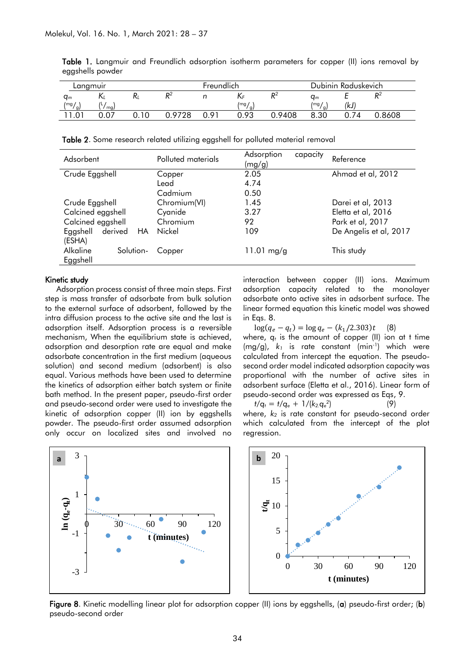| Langmuir                              |                               |      | Freundlich          |      |            |                     | Dubinin Raduskevich         |     |        |
|---------------------------------------|-------------------------------|------|---------------------|------|------------|---------------------|-----------------------------|-----|--------|
| $q_m$                                 |                               | N    | D <sub>2</sub><br>" |      | INF        | D <sub>2</sub><br>π | $q_m$                       | -   | D2     |
| $\lfloor mg \rfloor$<br>$\frac{1}{9}$ | $\mathbf{I}$<br>$\sim$<br>mg) |      |                     |      | /mg/<br>я. |                     | $\lfloor mg \rfloor$<br>Ιq. | (kJ |        |
| .01                                   | 0.07                          | 0.10 | 0.9728              | 0.91 | 0.93       | 0.9408              | 8.30                        | 74  | 0.8608 |

Table 1. Langmuir and Freundlich adsorption isotherm parameters for copper (II) ions removal by eggshells powder

Table 2. Some research related utilizing eggshell for polluted material removal

| Adsorbent                 | Polluted materials | Adsorption<br>capacity<br>(mg/g) | Reference              |  |  |
|---------------------------|--------------------|----------------------------------|------------------------|--|--|
| Crude Eggshell            | Copper             | 2.05                             | Ahmad et al, 2012      |  |  |
|                           | Lead               | 4.74                             |                        |  |  |
|                           | Cadmium            | 0.50                             |                        |  |  |
| Crude Eggshell            | Chromium(VI)       | 1.45                             | Darei et al, 2013      |  |  |
| Calcined eggshell         | Cyanide            | 3.27                             | Eletta et al, 2016     |  |  |
| Calcined eggshell         | Chromium           | 92                               | Park et al, 2017       |  |  |
| Eggshell<br>derived<br>HA | Nickel             | 109                              | De Angelis et al, 2017 |  |  |
| (ESHA)                    |                    |                                  |                        |  |  |
| Alkaline<br>Solution-     | Copper             | 11.01 $mg/g$                     | This study             |  |  |
| Eggshell                  |                    |                                  |                        |  |  |

#### Kinetic study

Adsorption process consist of three main steps. First step is mass transfer of adsorbate from bulk solution to the external surface of adsorbent, followed by the intra diffusion process to the active site and the last is adsorption itself. Adsorption process is a reversible mechanism, When the equilibrium state is achieved, adsorption and desorption rate are equal and make adsorbate concentration in the first medium (aqueous solution) and second medium (adsorbent) is also equal. Various methods have been used to determine the kinetics of adsorption either batch system or finite bath method. In the present paper, pseudo-first order and pseudo-second order were used to investigate the kinetic of adsorption copper (II) ion by eggshells powder. The pseudo-first order assumed adsorption only occur on localized sites and involved no interaction between copper (II) ions. Maximum adsorption capacity related to the monolayer adsorbate onto active sites in adsorbent surface. The linear formed equation this kinetic model was showed in Eqs. 8.

 $log(q_e - q_t) = log q_e - (k_1/2.303)t$  (8)

where, *q<sup>t</sup>* is the amount of copper (II) ion at t time (mg/g), *k<sup>1</sup>* is rate constant (min-1 ) which were calculated from intercept the equation. The pseudosecond order model indicated adsorption capacity was proportional with the number of active sites in adsorbent surface (Eletta et al., 2016). Linear form of pseudo-second order was expressed as Eqs, 9.

$$
t/q_t = t/q_e + 1/(k_2 q_e^2)
$$

where, *k<sup>2</sup>* is rate constant for pseudo-second order which calculated from the intercept of the plot regression.

) (9)



Figure 8. Kinetic modelling linear plot for adsorption copper (II) ions by eggshells, (a) pseudo-first order; (b) pseudo-second order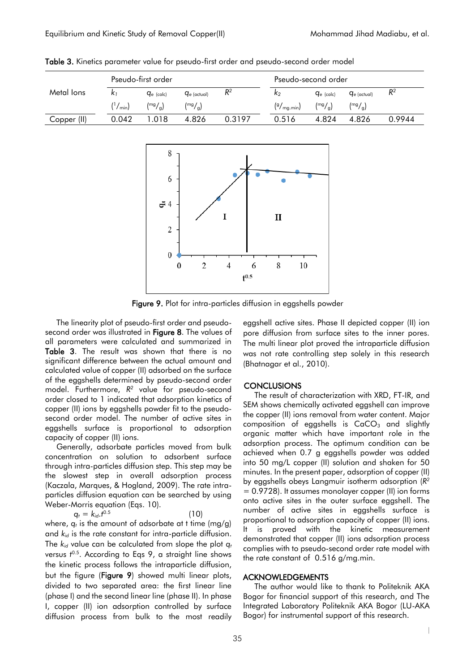|             | Pseudo-first order |                 |                  |        | Pseudo-second order          |                 |                  |        |
|-------------|--------------------|-----------------|------------------|--------|------------------------------|-----------------|------------------|--------|
| Metal lons  | $\mathbf{k}_1$     | $q_{e}$ (calc)  | $q_{e}$ (actual) | $R^2$  | k <sub>2</sub>               | $q_{e}$ (calc)  | $q_{e}$ (actual) | $R^2$  |
|             | $\frac{(1)}{min}$  | $\binom{mg}{g}$ | $\binom{mg}{g}$  |        | $\left(\frac{9}{mg} \right)$ | $\binom{mg}{g}$ | $\binom{mg}{g}$  |        |
| Copper (II) | 0.042              | 1.018           | 4.826            | 0.3197 | 0.516                        | 4.824           | 4.826            | 0.9944 |
|             |                    |                 |                  |        |                              |                 |                  |        |
|             |                    | $\Omega$        |                  |        |                              |                 |                  |        |

Table 3. Kinetics parameter value for pseudo-first order and pseudo-second order model



Figure 9. Plot for intra-particles diffusion in eggshells powder

The linearity plot of pseudo-first order and pseudosecond order was illustrated in Figure 8. The values of all parameters were calculated and summarized in Table 3. The result was shown that there is no significant difference between the actual amount and calculated value of copper (II) adsorbed on the surface of the eggshells determined by pseudo-second order model. Furthermore, *R 2* value for pseudo-second order closed to 1 indicated that adsorption kinetics of copper (II) ions by eggshells powder fit to the pseudosecond order model. The number of active sites in eggshells surface is proportional to adsorption capacity of copper (II) ions.

Generally, adsorbate particles moved from bulk concentration on solution to adsorbent surface through intra-particles diffusion step. This step may be the slowest step in overall adsorption process (Kaczala, Marques, & Hogland, 2009). The rate intraparticles diffusion equation can be searched by using Weber-Morris equation (Eqs. 10).

 $q_t = k_{id}.t^{0.5}$  $(10)$ where, *q<sup>t</sup>* is the amount of adsorbate at t time (mg/g) and  $k_{id}$  is the rate constant for intra-particle diffusion. The *kid* value can be calculated from slope the plot *q<sup>t</sup>* versus *t* 0.5. According to Eqs 9, a straight line shows the kinetic process follows the intraparticle diffusion, but the figure (Figure 9) showed multi linear plots, divided to two separated area: the first linear line (phase I) and the second linear line (phase II). In phase

I, copper (II) ion adsorption controlled by surface diffusion process from bulk to the most readily eggshell active sites. Phase II depicted copper (II) ion pore diffusion from surface sites to the inner pores. The multi linear plot proved the intraparticle diffusion was not rate controlling step solely in this research (Bhatnagar et al., 2010).

# **CONCLUSIONS**

The result of characterization with XRD, FT-IR, and SEM shows chemically activated eggshell can improve the copper (II) ions removal from water content. Major composition of eggshells is  $CaCO<sub>3</sub>$  and slightly organic matter which have important role in the adsorption process. The optimum condition can be achieved when 0.7 g eggshells powder was added into 50 mg/L copper (II) solution and shaken for 50 minutes. In the present paper, adsorption of copper (II) by eggshells obeys Langmuir isotherm adsorption (*R 2* = 0.9728). It assumes monolayer copper (II) ion forms onto active sites in the outer surface eggshell. The number of active sites in eggshells surface is proportional to adsorption capacity of copper (II) ions. It is proved with the kinetic measurement demonstrated that copper (II) ions adsorption process complies with to pseudo-second order rate model with the rate constant of 0.516 g/mg.min.

# ACKNOWLEDGEMENTS

The author would like to thank to Politeknik AKA Bogor for financial support of this research, and The Integrated Laboratory Politeknik AKA Bogor (LU-AKA Bogor) for instrumental support of this research.

|

 $\overline{\phantom{a}}$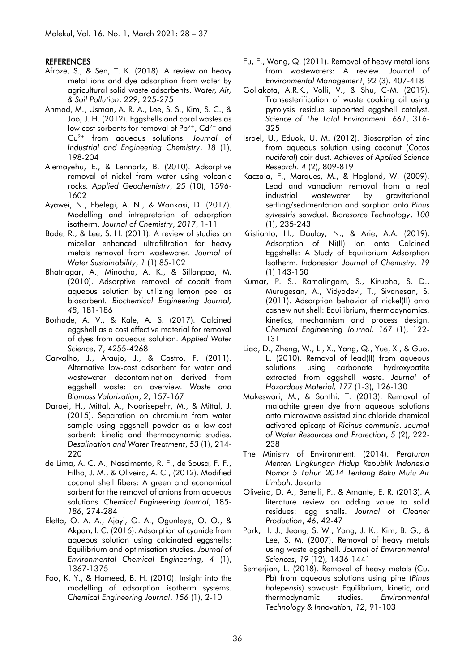#### **REFERENCES**

- Afroze, S., & Sen, T. K. (2018). A review on heavy metal ions and dye adsorption from water by agricultural solid waste adsorbents. *Water, Air, & Soil Pollution*, *229*, 225-275
- Ahmad, M., Usman, A. R. A., Lee, S. S., Kim, S. C., & Joo, J. H. (2012). Eggshells and coral wastes as low cost sorbents for removal of  $Pb^{2+}$ , Cd<sup>2+</sup> and Cu2+ from aqueous solutions. *Journal of Industrial and Engineering Chemistry*, *18* (1), 198-204
- Alemayehu, E., & Lennartz, B. (2010). Adsorptive removal of nickel from water using volcanic rocks. *Applied Geochemistry*, *25* (10), 1596- 1602
- Ayawei, N., Ebelegi, A. N., & Wankasi, D. (2017). Modelling and intrepretation of adsorption isotherm. *Journal of Chemistry*, *2017*, 1-11
- Bade, R., & Lee, S. H. (2011). A review of studies on micellar enhanced ultrafiltration for heavy metals removal from wastewater. *Journal of Water Sustainability*, *1* (1) 85-102
- Bhatnagar, A., Minocha, A. K., & Sillanpaa, M. (2010). Adsorptive removal of cobalt from aqueous solution by utilizing lemon peel as biosorbent. *Biochemical Engineering Journal, 48*, 181-186
- Borhade, A. V., & Kale, A. S. (2017). Calcined eggshell as a cost effective material for removal of dyes from aqueous solution. *Applied Water Science*, 7, 4255-4268
- Carvalho, J., Araujo, J., & Castro, F. (2011). Alternative low-cost adsorbent for water and wastewater decontamination derived from eggshell waste: an overview. *Waste and Biomass Valorization*, *2*, 157-167
- Daraei, H., Mittal, A., Noorisepehr, M., & Mittal, J. (2015). Separation on chromium from water sample using eggshell powder as a low-cost sorbent: kinetic and thermodynamic studies. *Desalination and Water Treatment*, *53* (1), 214- 220
- de Lima, A. C. A., Nascimento, R. F., de Sousa, F. F., Filho, J. M., & Oliveira, A. C., (2012). Modified coconut shell fibers: A green and economical sorbent for the removal of anions from aqueous solutions. *Chemical Engineering Journal*, 185- *186*, 274-284
- Eletta, O. A. A., Ajayi, O. A., Ogunleye, O. O., & Akpan, I. C. (2016). Adsorption of cyanide from aqueous solution using calcinated eggshells: Equilibrium and optimisation studies. *Journal of Environmental Chemical Engineering*, *4* (1), 1367-1375
- Foo, K. Y., & Hameed, B. H. (2010). Insight into the modelling of adsorption isotherm systems. *Chemical Engineering Journal*, *156* (1), 2-10
- Fu, F., Wang, Q. (2011). Removal of heavy metal ions from wastewaters: A review. *Journal of Environmental Management*, *92* (3), 407-418
- Gollakota, A.R.K., Volli, V., & Shu, C-M. (2019). Transesterification of waste cooking oil using pyrolysis residue supported eggshell catalyst. *Science of The Total Environment*. *661*, 316- 325
- Israel, U., Eduok, U. M. (2012). Biosorption of zinc from aqueous solution using coconut (*Cocos nuciferal*) coir dust. *Achieves of Applied Science Research*. *4* (2), 809-819
- Kaczala, F., Marques, M., & Hogland, W. (2009). Lead and vanadium removal from a real industrial wastewater by gravitational settling/sedimentation and sorption onto *Pinus sylvestris* sawdust. *Bioresorce Technology*, *100* (1), 235-243
- Kristianto, H., Daulay, N., & Arie, A.A. (2019). Adsorption of Ni(II) Ion onto Calcined Eggshells: A Study of Equilibrium Adsorption Isotherm. *Indonesian Journal of Chemistry*. *19* (1) 143-150
- Kumar, P. S., Ramalingam, S., Kirupha, S. D., Murugesan, A., Vidyadevi, T., Sivanesan, S. (2011). Adsorption behavior of nickel(II) onto cashew nut shell: Equilibrium, thermodynamics, kinetics, mechannism and process design. *Chemical Engineering Journal. 167* (1), 122- 131
- Liao, D., Zheng, W., Li, X., Yang, Q., Yue, X., & Guo, L. (2010). Removal of lead(II) from aqueous solutions using carbonate hydroxypatite extracted from eggshell waste. *Journal of Hazardous Material, 177* (1-3), 126-130
- Makeswari, M., & Santhi, T. (2013). Removal of malachite green dye from aqueous solutions onto microwave assisted zinc chloride chemical activated epicarp of *Ricinus communis*. *Journal of Water Resources and Protection*, *5* (2), 222- 238
- The Ministry of Environment. (2014). *Peraturan Menteri Lingkungan Hidup Republik Indonesia Nomor 5 Tahun 2014 Tentang Baku Mutu Air Limbah*. Jakarta
- Oliveira, D. A., Benelli, P., & Amante, E. R. (2013). A literature review on adding value to solid residues: egg shells. *Journal of Cleaner Production*, *46*, 42-47
- Park, H. J., Jeong, S. W., Yang, J. K., Kim, B. G., & Lee, S. M. (2007). Removal of heavy metals using waste eggshell. *Journal of Environmental Sciences*, *19* (12), 1436-1441
- Semerjian, L. (2018). Removal of heavy metals (Cu, Pb) from aqueous solutions using pine (*Pinus halepensis*) sawdust: Equilibrium, kinetic, and thermodynamic studies. *Environmental Technology & Innovation*, *12*, 91-103